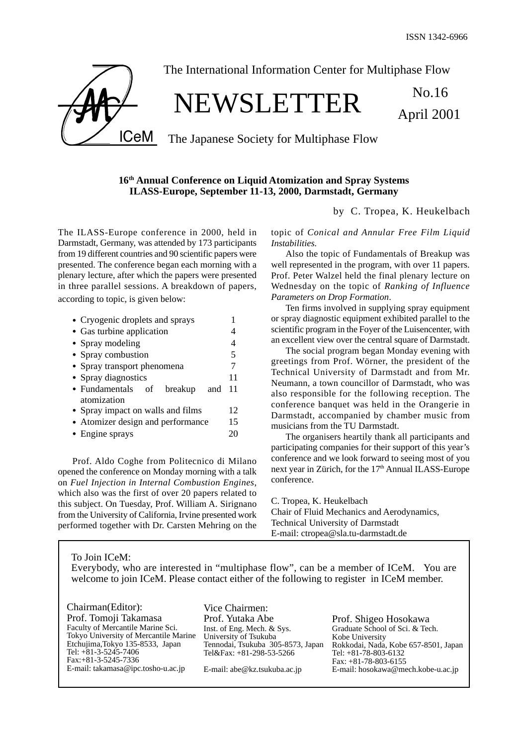

The International Information Center for Multiphase Flow

# NEWSLETTER No.16

April 2001

The Japanese Society for Multiphase Flow

## **16th Annual Conference on Liquid Atomization and Spray Systems ILASS-Europe, September 11-13, 2000, Darmstadt, Germany**

by C. Tropea, K. Heukelbach

The ILASS-Europe conference in 2000, held in Darmstadt, Germany, was attended by 173 participants from 19 different countries and 90 scientific papers were presented. The conference began each morning with a plenary lecture, after which the papers were presented in three parallel sessions. A breakdown of papers, according to topic, is given below:

| • Cryogenic droplets and sprays                    |    |
|----------------------------------------------------|----|
| • Gas turbine application                          |    |
| • Spray modeling                                   | 4  |
| • Spray combustion                                 | 5  |
| • Spray transport phenomena                        |    |
| • Spray diagnostics                                | 11 |
| • Fundamentals of<br>breakup<br>and<br>atomization | 11 |
| • Spray impact on walls and films                  |    |
| • Atomizer design and performance                  |    |
| • Engine sprays                                    | 20 |
|                                                    |    |

Prof. Aldo Coghe from Politecnico di Milano opened the conference on Monday morning with a talk on *Fuel Injection in Internal Combustion Engines*, which also was the first of over 20 papers related to this subject. On Tuesday, Prof. William A. Sirignano from the University of California, Irvine presented work performed together with Dr. Carsten Mehring on the topic of *Conical and Annular Free Film Liquid Instabilities.*

Also the topic of Fundamentals of Breakup was well represented in the program, with over 11 papers. Prof. Peter Walzel held the final plenary lecture on Wednesday on the topic of *Ranking of Influence Parameters on Drop Formation*.

Ten firms involved in supplying spray equipment or spray diagnostic equipment exhibited parallel to the scientific program in the Foyer of the Luisencenter, with an excellent view over the central square of Darmstadt.

The social program began Monday evening with greetings from Prof. Wörner, the president of the Technical University of Darmstadt and from Mr. Neumann, a town councillor of Darmstadt, who was also responsible for the following reception. The conference banquet was held in the Orangerie in Darmstadt, accompanied by chamber music from musicians from the TU Darmstadt.

The organisers heartily thank all participants and participating companies for their support of this year's conference and we look forward to seeing most of you next year in Zürich, for the 17<sup>th</sup> Annual ILASS-Europe conference.

C. Tropea, K. Heukelbach Chair of Fluid Mechanics and Aerodynamics, Technical University of Darmstadt E-mail: ctropea@sla.tu-darmstadt.de

To Join ICeM: Everybody, who are interested in "multiphase flow", can be a member of ICeM. You are welcome to join ICeM. Please contact either of the following to register in ICeM member.

| Chairman(Editor):<br>Prof. Tomoji Takamasa<br>Faculty of Mercantile Marine Sci.<br>Tokyo University of Mercantile Marine<br>Etchujima, Tokyo 135-8533, Japan<br>Tel: $+81-3-5245-7406$ | Vice Chairmen:<br>Prof. Yutaka Abe<br>Inst. of Eng. Mech. & Sys.<br>University of Tsukuba<br>Tennodai, Tsukuba 305-8573, Japan<br>Tel&Fax: +81-298-53-5266 | Prof. Shigeo Ho<br>Graduate School of<br>Kobe University<br>Rokkodai, Nada, K |
|----------------------------------------------------------------------------------------------------------------------------------------------------------------------------------------|------------------------------------------------------------------------------------------------------------------------------------------------------------|-------------------------------------------------------------------------------|
| $Fax: +81-3-5245-7336$                                                                                                                                                                 |                                                                                                                                                            | Tel: $+81-78-803-61$<br>Fax: $+81-78-803-6$                                   |
| E-mail: takamasa@ipc.tosho-u.ac.jp                                                                                                                                                     | E-mail: abe@kz.tsukuba.ac.jp                                                                                                                               | E-mail: hosokawa@                                                             |

psokawa Sci. & Tech. obe 657-8501, Japan Tel: +81-78-803-6132 Fax: +81-78-803-6155 **Imech.kobe-u.ac.jp**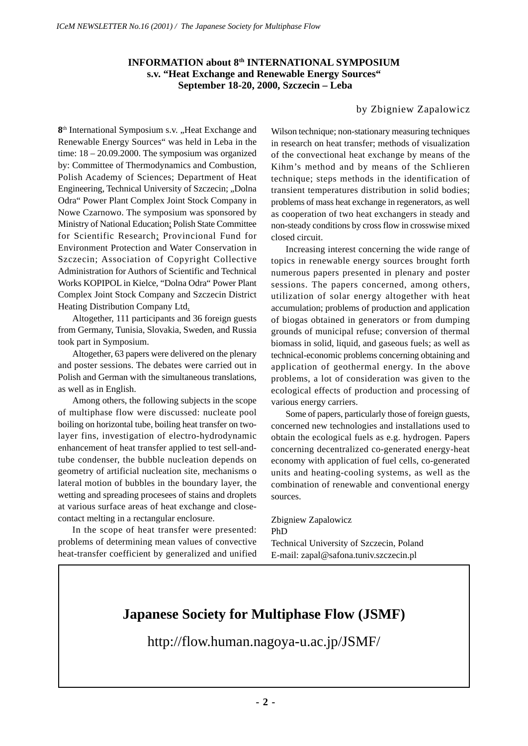### **INFORMATION about 8th INTERNATIONAL SYMPOSIUM s.v. "Heat Exchange and Renewable Energy Sources" September 18-20, 2000, Szczecin – Leba**

## by Zbigniew Zapalowicz

8<sup>th</sup> International Symposium s.v. "Heat Exchange and Renewable Energy Sources" was held in Leba in the time: 18 – 20.09.2000. The symposium was organized by: Committee of Thermodynamics and Combustion, Polish Academy of Sciences; Department of Heat Engineering, Technical University of Szczecin; "Dolna Odra" Power Plant Complex Joint Stock Company in Nowe Czarnowo. The symposium was sponsored by Ministry of National Education; Polish State Committee for Scientific Research; Provincional Fund for Environment Protection and Water Conservation in Szczecin; Association of Copyright Collective Administration for Authors of Scientific and Technical Works KOPIPOL in Kielce, "Dolna Odra" Power Plant Complex Joint Stock Company and Szczecin District Heating Distribution Company Ltd.

Altogether, 111 participants and 36 foreign guests from Germany, Tunisia, Slovakia, Sweden, and Russia took part in Symposium.

Altogether, 63 papers were delivered on the plenary and poster sessions. The debates were carried out in Polish and German with the simultaneous translations, as well as in English.

Among others, the following subjects in the scope of multiphase flow were discussed: nucleate pool boiling on horizontal tube, boiling heat transfer on twolayer fins, investigation of electro-hydrodynamic enhancement of heat transfer applied to test sell-andtube condenser, the bubble nucleation depends on geometry of artificial nucleation site, mechanisms o lateral motion of bubbles in the boundary layer, the wetting and spreading procesees of stains and droplets at various surface areas of heat exchange and closecontact melting in a rectangular enclosure.

In the scope of heat transfer were presented: problems of determining mean values of convective heat-transfer coefficient by generalized and unified Wilson technique; non-stationary measuring techniques in research on heat transfer; methods of visualization of the convectional heat exchange by means of the Kihm's method and by means of the Schlieren technique; steps methods in the identification of transient temperatures distribution in solid bodies; problems of mass heat exchange in regenerators, as well as cooperation of two heat exchangers in steady and non-steady conditions by cross flow in crosswise mixed closed circuit.

Increasing interest concerning the wide range of topics in renewable energy sources brought forth numerous papers presented in plenary and poster sessions. The papers concerned, among others, utilization of solar energy altogether with heat accumulation; problems of production and application of biogas obtained in generators or from dumping grounds of municipal refuse; conversion of thermal biomass in solid, liquid, and gaseous fuels; as well as technical-economic problems concerning obtaining and application of geothermal energy. In the above problems, a lot of consideration was given to the ecological effects of production and processing of various energy carriers.

Some of papers, particularly those of foreign guests, concerned new technologies and installations used to obtain the ecological fuels as e.g. hydrogen. Papers concerning decentralized co-generated energy-heat economy with application of fuel cells, co-generated units and heating-cooling systems, as well as the combination of renewable and conventional energy sources.

Zbigniew Zapalowicz PhD Technical University of Szczecin, Poland E-mail: zapal@safona.tuniv.szczecin.pl

## **Japanese Society for Multiphase Flow (JSMF)**

http://flow.human.nagoya-u.ac.jp/JSMF/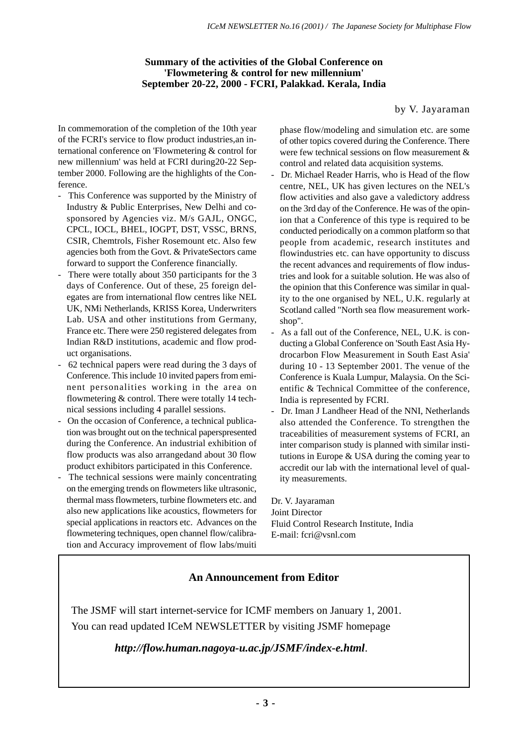## **Summary of the activities of the Global Conference on 'Flowmetering & control for new millennium' September 20-22, 2000 - FCRI, Palakkad. Kerala, India**

### by V. Jayaraman

In commemoration of the completion of the 10th year of the FCRI's service to flow product industries,an international conference on 'Flowmetering & control for new millennium' was held at FCRI during20-22 September 2000. Following are the highlights of the Conference.

- This Conference was supported by the Ministry of Industry & Public Enterprises, New Delhi and cosponsored by Agencies viz. M/s GAJL, ONGC, CPCL, IOCL, BHEL, IOGPT, DST, VSSC, BRNS, CSIR, Chemtrols, Fisher Rosemount etc. Also few agencies both from the Govt. & PrivateSectors came forward to support the Conference financially.
- There were totally about 350 participants for the 3 days of Conference. Out of these, 25 foreign delegates are from international flow centres like NEL UK, NMi Netherlands, KRISS Korea, Underwriters Lab. USA and other institutions from Germany, France etc. There were 250 registered delegates from Indian R&D institutions, academic and flow product organisations.
- 62 technical papers were read during the 3 days of Conference. This include 10 invited papers from eminent personalities working in the area on flowmetering & control. There were totally 14 technical sessions including 4 parallel sessions.
- On the occasion of Conference, a technical publication was brought out on the technical paperspresented during the Conference. An industrial exhibition of flow products was also arrangedand about 30 flow product exhibitors participated in this Conference.
- The technical sessions were mainly concentrating on the emerging trends on flowmeters like ultrasonic, thermal mass flowmeters, turbine flowmeters etc. and also new applications like acoustics, flowmeters for special applications in reactors etc. Advances on the flowmetering techniques, open channel flow/calibration and Accuracy improvement of flow labs/muiti

phase flow/modeling and simulation etc. are some of other topics covered during the Conference. There were few technical sessions on flow measurement & control and related data acquisition systems.

- Dr. Michael Reader Harris, who is Head of the flow centre, NEL, UK has given lectures on the NEL's flow activities and also gave a valedictory address on the 3rd day of the Conference. He was of the opinion that a Conference of this type is required to be conducted periodically on a common platform so that people from academic, research institutes and flowindustries etc. can have opportunity to discuss the recent advances and requirements of flow industries and look for a suitable solution. He was also of the opinion that this Conference was similar in quality to the one organised by NEL, U.K. regularly at Scotland called "North sea flow measurement workshop".
- As a fall out of the Conference, NEL, U.K. is conducting a Global Conference on 'South East Asia Hydrocarbon Flow Measurement in South East Asia' during 10 - 13 September 2001. The venue of the Conference is Kuala Lumpur, Malaysia. On the Scientific & Technical Committee of the conference, India is represented by FCRI.
- Dr. Iman J Landheer Head of the NNI, Netherlands also attended the Conference. To strengthen the traceabilities of measurement systems of FCRI, an inter comparison study is planned with similar institutions in Europe  $&$  USA during the coming year to accredit our lab with the international level of quality measurements.

Dr. V. Jayaraman Joint Director Fluid Control Research Institute, India E-mail: fcri@vsnl.com

## **An Announcement from Editor**

The JSMF will start internet-service for ICMF members on January 1, 2001. You can read updated ICeM NEWSLETTER by visiting JSMF homepage

*http://flow.human.nagoya-u.ac.jp/JSMF/index-e.html*.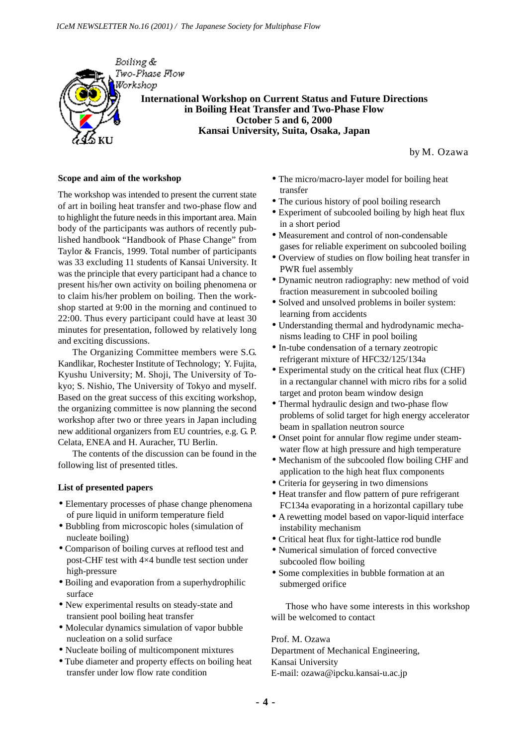

by M. Ozawa

#### **Scope and aim of the workshop**

The workshop was intended to present the current state of art in boiling heat transfer and two-phase flow and to highlight the future needs in this important area. Main body of the participants was authors of recently published handbook "Handbook of Phase Change" from Taylor & Francis, 1999. Total number of participants was 33 excluding 11 students of Kansai University. It was the principle that every participant had a chance to present his/her own activity on boiling phenomena or to claim his/her problem on boiling. Then the workshop started at 9:00 in the morning and continued to 22:00. Thus every participant could have at least 30 minutes for presentation, followed by relatively long and exciting discussions.

The Organizing Committee members were S.G. Kandlikar, Rochester Institute of Technology; Y. Fujita, Kyushu University; M. Shoji, The University of Tokyo; S. Nishio, The University of Tokyo and myself. Based on the great success of this exciting workshop, the organizing committee is now planning the second workshop after two or three years in Japan including new additional organizers from EU countries, e.g. G. P. Celata, ENEA and H. Auracher, TU Berlin.

The contents of the discussion can be found in the following list of presented titles.

#### **List of presented papers**

- Elementary processes of phase change phenomena of pure liquid in uniform temperature field
- Bubbling from microscopic holes (simulation of nucleate boiling)
- Comparison of boiling curves at reflood test and post-CHF test with 4×4 bundle test section under high-pressure
- Boiling and evaporation from a superhydrophilic surface
- New experimental results on steady-state and transient pool boiling heat transfer
- Molecular dynamics simulation of vapor bubble nucleation on a solid surface
- Nucleate boiling of multicomponent mixtures
- Tube diameter and property effects on boiling heat transfer under low flow rate condition
- The micro/macro-layer model for boiling heat transfer
- The curious history of pool boiling research
- Experiment of subcooled boiling by high heat flux in a short period
- Measurement and control of non-condensable gases for reliable experiment on subcooled boiling
- Overview of studies on flow boiling heat transfer in PWR fuel assembly
- Dynamic neutron radiography: new method of void fraction measurement in subcooled boiling
- Solved and unsolved problems in boiler system: learning from accidents
- Understanding thermal and hydrodynamic mechanisms leading to CHF in pool boiling
- In-tube condensation of a ternary zeotropic refrigerant mixture of HFC32/125/134a
- Experimental study on the critical heat flux (CHF) in a rectangular channel with micro ribs for a solid target and proton beam window design
- Thermal hydraulic design and two-phase flow problems of solid target for high energy accelerator beam in spallation neutron source
- Onset point for annular flow regime under steamwater flow at high pressure and high temperature
- Mechanism of the subcooled flow boiling CHF and application to the high heat flux components
- Criteria for geysering in two dimensions
- Heat transfer and flow pattern of pure refrigerant FC134a evaporating in a horizontal capillary tube
- A rewetting model based on vapor-liquid interface instability mechanism
- Critical heat flux for tight-lattice rod bundle
- Numerical simulation of forced convective subcooled flow boiling
- Some complexities in bubble formation at an submerged orifice

Those who have some interests in this workshop will be welcomed to contact

Prof. M. Ozawa Department of Mechanical Engineering, Kansai University E-mail: ozawa@ipcku.kansai-u.ac.jp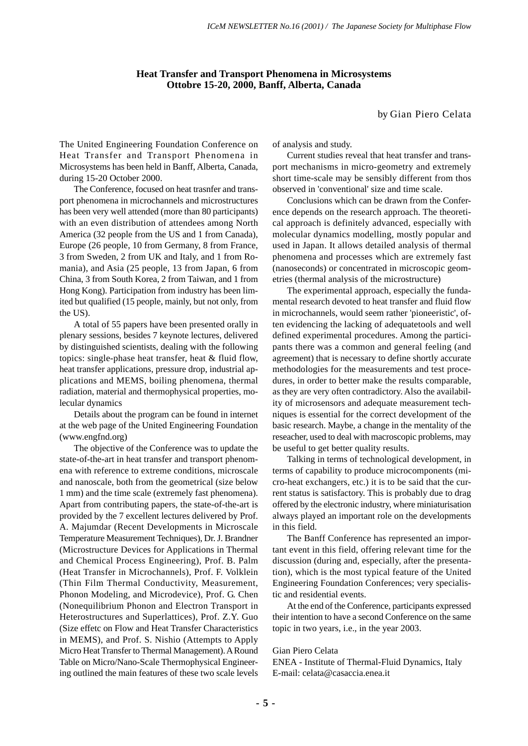#### **Heat Transfer and Transport Phenomena in Microsystems Ottobre 15-20, 2000, Banff, Alberta, Canada**

by Gian Piero Celata

The United Engineering Foundation Conference on Heat Transfer and Transport Phenomena in Microsystems has been held in Banff, Alberta, Canada, during 15-20 October 2000.

The Conference, focused on heat trasnfer and transport phenomena in microchannels and microstructures has been very well attended (more than 80 participants) with an even distribution of attendees among North America (32 people from the US and 1 from Canada), Europe (26 people, 10 from Germany, 8 from France, 3 from Sweden, 2 from UK and Italy, and 1 from Romania), and Asia (25 people, 13 from Japan, 6 from China, 3 from South Korea, 2 from Taiwan, and 1 from Hong Kong). Participation from industry has been limited but qualified (15 people, mainly, but not only, from the US).

A total of 55 papers have been presented orally in plenary sessions, besides 7 keynote lectures, delivered by distinguished scientists, dealing with the following topics: single-phase heat transfer, heat & fluid flow, heat transfer applications, pressure drop, industrial applications and MEMS, boiling phenomena, thermal radiation, material and thermophysical properties, molecular dynamics

Details about the program can be found in internet at the web page of the United Engineering Foundation (www.engfnd.org)

The objective of the Conference was to update the state-of-the-art in heat transfer and transport phenomena with reference to extreme conditions, microscale and nanoscale, both from the geometrical (size below 1 mm) and the time scale (extremely fast phenomena). Apart from contributing papers, the state-of-the-art is provided by the 7 excellent lectures delivered by Prof. A. Majumdar (Recent Developments in Microscale Temperature Measurement Techniques), Dr. J. Brandner (Microstructure Devices for Applications in Thermal and Chemical Process Engineering), Prof. B. Palm (Heat Transfer in Microchannels), Prof. F. Volklein (Thin Film Thermal Conductivity, Measurement, Phonon Modeling, and Microdevice), Prof. G. Chen (Nonequilibrium Phonon and Electron Transport in Heterostructures and Superlattices), Prof. Z.Y. Guo (Size effetc on Flow and Heat Transfer Characteristics in MEMS), and Prof. S. Nishio (Attempts to Apply Micro Heat Transfer to Thermal Management). A Round Table on Micro/Nano-Scale Thermophysical Engineering outlined the main features of these two scale levels of analysis and study.

Current studies reveal that heat transfer and transport mechanisms in micro-geometry and extremely short time-scale may be sensibly different from thos observed in 'conventional' size and time scale.

Conclusions which can be drawn from the Conference depends on the research approach. The theoretical approach is definitely advanced, especially with molecular dynamics modelling, mostly popular and used in Japan. It allows detailed analysis of thermal phenomena and processes which are extremely fast (nanoseconds) or concentrated in microscopic geometries (thermal analysis of the microstructure)

The experimental approach, especially the fundamental research devoted to heat transfer and fluid flow in microchannels, would seem rather 'pioneeristic', often evidencing the lacking of adequatetools and well defined experimental procedures. Among the participants there was a common and general feeling (and agreement) that is necessary to define shortly accurate methodologies for the measurements and test procedures, in order to better make the results comparable, as they are very often contradictory. Also the availability of microsensors and adequate measurement techniques is essential for the correct development of the basic research. Maybe, a change in the mentality of the reseacher, used to deal with macroscopic problems, may be useful to get better quality results.

Talking in terms of technological development, in terms of capability to produce microcomponents (micro-heat exchangers, etc.) it is to be said that the current status is satisfactory. This is probably due to drag offered by the electronic industry, where miniaturisation always played an important role on the developments in this field.

The Banff Conference has represented an important event in this field, offering relevant time for the discussion (during and, especially, after the presentation), which is the most typical feature of the United Engineering Foundation Conferences; very specialistic and residential events.

At the end of the Conference, participants expressed their intention to have a second Conference on the same topic in two years, i.e., in the year 2003.

#### Gian Piero Celata

ENEA - Institute of Thermal-Fluid Dynamics, Italy E-mail: celata@casaccia.enea.it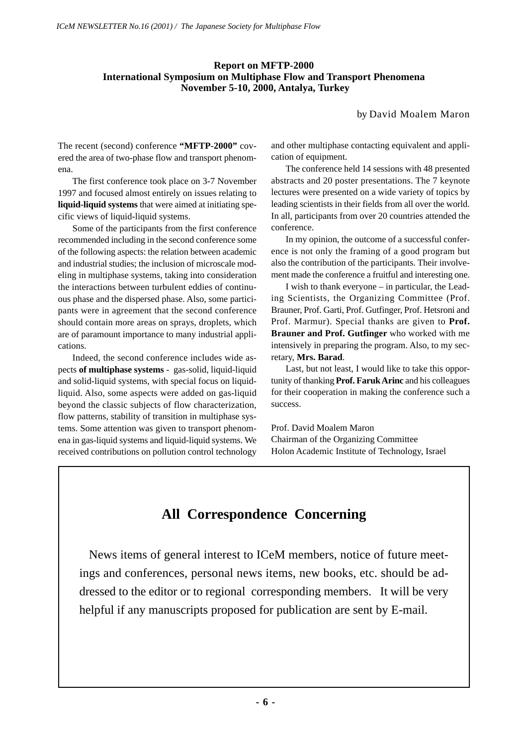## **Report on MFTP-2000 International Symposium on Multiphase Flow and Transport Phenomena November 5-10, 2000, Antalya, Turkey**

by David Moalem Maron

The recent (second) conference **"MFTP-2000"** covered the area of two-phase flow and transport phenomena.

The first conference took place on 3-7 November 1997 and focused almost entirely on issues relating to **liquid-liquid systems** that were aimed at initiating specific views of liquid-liquid systems.

Some of the participants from the first conference recommended including in the second conference some of the following aspects: the relation between academic and industrial studies; the inclusion of microscale modeling in multiphase systems, taking into consideration the interactions between turbulent eddies of continuous phase and the dispersed phase. Also, some participants were in agreement that the second conference should contain more areas on sprays, droplets, which are of paramount importance to many industrial applications.

Indeed, the second conference includes wide aspects **of multiphase systems** - gas-solid, liquid-liquid and solid-liquid systems, with special focus on liquidliquid. Also, some aspects were added on gas-liquid beyond the classic subjects of flow characterization, flow patterns, stability of transition in multiphase systems. Some attention was given to transport phenomena in gas-liquid systems and liquid-liquid systems. We received contributions on pollution control technology and other multiphase contacting equivalent and application of equipment.

The conference held 14 sessions with 48 presented abstracts and 20 poster presentations. The 7 keynote lectures were presented on a wide variety of topics by leading scientists in their fields from all over the world. In all, participants from over 20 countries attended the conference.

In my opinion, the outcome of a successful conference is not only the framing of a good program but also the contribution of the participants. Their involvement made the conference a fruitful and interesting one.

I wish to thank everyone – in particular, the Leading Scientists, the Organizing Committee (Prof. Brauner, Prof. Garti, Prof. Gutfinger, Prof. Hetsroni and Prof. Marmur). Special thanks are given to **Prof. Brauner and Prof. Gutfinger** who worked with me intensively in preparing the program. Also, to my secretary, **Mrs. Barad**.

Last, but not least, I would like to take this opportunity of thanking **Prof. Faruk Arinc** and his colleagues for their cooperation in making the conference such a success.

Prof. David Moalem Maron Chairman of the Organizing Committee Holon Academic Institute of Technology, Israel

## **All Correspondence Concerning**

 News items of general interest to ICeM members, notice of future meetings and conferences, personal news items, new books, etc. should be addressed to the editor or to regional corresponding members. It will be very helpful if any manuscripts proposed for publication are sent by E-mail.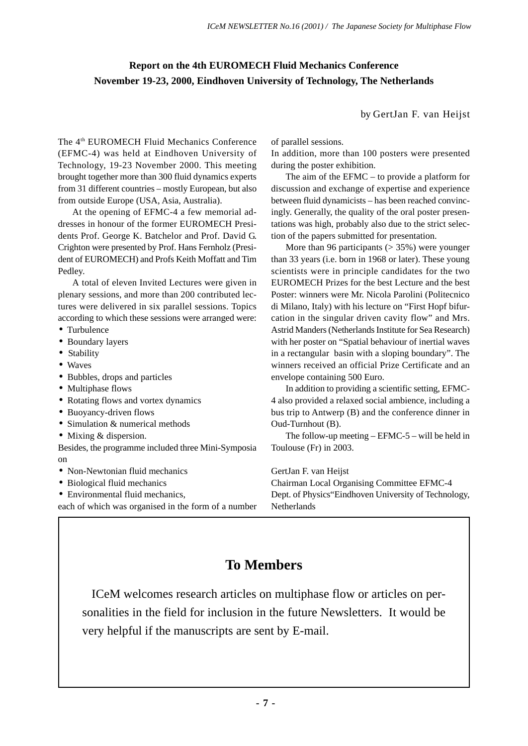## **Report on the 4th EUROMECH Fluid Mechanics Conference November 19-23, 2000, Eindhoven University of Technology, The Netherlands**

by GertJan F. van Heijst

The 4th EUROMECH Fluid Mechanics Conference (EFMC-4) was held at Eindhoven University of Technology, 19-23 November 2000. This meeting brought together more than 300 fluid dynamics experts from 31 different countries – mostly European, but also from outside Europe (USA, Asia, Australia).

At the opening of EFMC-4 a few memorial addresses in honour of the former EUROMECH Presidents Prof. George K. Batchelor and Prof. David G. Crighton were presented by Prof. Hans Fernholz (President of EUROMECH) and Profs Keith Moffatt and Tim Pedley.

A total of eleven Invited Lectures were given in plenary sessions, and more than 200 contributed lectures were delivered in six parallel sessions. Topics according to which these sessions were arranged were:

- Turbulence
- Boundary layers
- Stability
- Waves
- Bubbles, drops and particles
- Multiphase flows
- Rotating flows and vortex dynamics
- Buoyancy-driven flows
- Simulation & numerical methods
- Mixing & dispersion.
- Besides, the programme included three Mini-Symposia on
- Non-Newtonian fluid mechanics
- Biological fluid mechanics
- Environmental fluid mechanics,

each of which was organised in the form of a number

of parallel sessions.

In addition, more than 100 posters were presented during the poster exhibition.

The aim of the EFMC – to provide a platform for discussion and exchange of expertise and experience between fluid dynamicists – has been reached convincingly. Generally, the quality of the oral poster presentations was high, probably also due to the strict selection of the papers submitted for presentation.

More than 96 participants (> 35%) were younger than 33 years (i.e. born in 1968 or later). These young scientists were in principle candidates for the two EUROMECH Prizes for the best Lecture and the best Poster: winners were Mr. Nicola Parolini (Politecnico di Milano, Italy) with his lecture on "First Hopf bifurcation in the singular driven cavity flow" and Mrs. Astrid Manders (Netherlands Institute for Sea Research) with her poster on "Spatial behaviour of inertial waves in a rectangular basin with a sloping boundary". The winners received an official Prize Certificate and an envelope containing 500 Euro.

In addition to providing a scientific setting, EFMC-4 also provided a relaxed social ambience, including a bus trip to Antwerp (B) and the conference dinner in Oud-Turnhout (B).

The follow-up meeting – EFMC-5 – will be held in Toulouse (Fr) in 2003.

GertJan F. van Heijst

Chairman Local Organising Committee EFMC-4 Dept. of Physics"Eindhoven University of Technology, Netherlands

## **To Members**

 ICeM welcomes research articles on multiphase flow or articles on personalities in the field for inclusion in the future Newsletters. It would be very helpful if the manuscripts are sent by E-mail.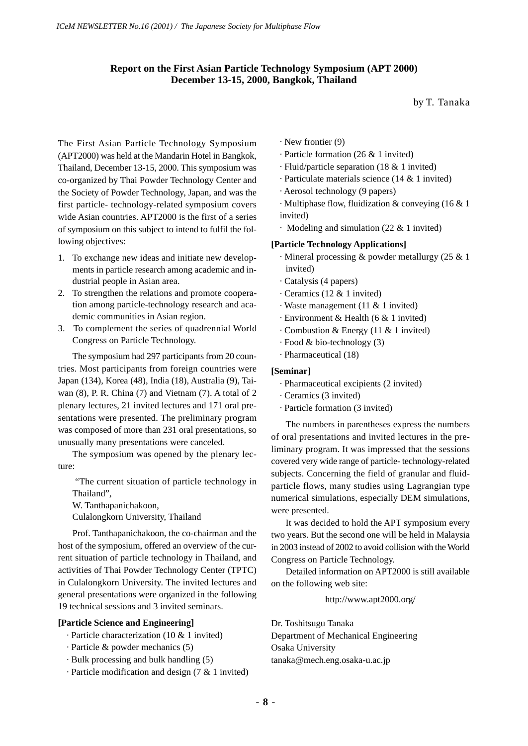## **Report on the First Asian Particle Technology Symposium (APT 2000) December 13-15, 2000, Bangkok, Thailand**

by T. Tanaka

The First Asian Particle Technology Symposium (APT2000) was held at the Mandarin Hotel in Bangkok, Thailand, December 13-15, 2000. This symposium was co-organized by Thai Powder Technology Center and the Society of Powder Technology, Japan, and was the first particle- technology-related symposium covers wide Asian countries. APT2000 is the first of a series of symposium on this subject to intend to fulfil the following objectives:

- 1. To exchange new ideas and initiate new developments in particle research among academic and industrial people in Asian area.
- 2. To strengthen the relations and promote cooperation among particle-technology research and academic communities in Asian region.
- 3. To complement the series of quadrennial World Congress on Particle Technology.

The symposium had 297 participants from 20 countries. Most participants from foreign countries were Japan (134), Korea (48), India (18), Australia (9), Taiwan (8), P. R. China (7) and Vietnam (7). A total of 2 plenary lectures, 21 invited lectures and 171 oral presentations were presented. The preliminary program was composed of more than 231 oral presentations, so unusually many presentations were canceled.

The symposium was opened by the plenary lecture:

"The current situation of particle technology in Thailand",

W. Tanthapanichakoon,

Culalongkorn University, Thailand

Prof. Tanthapanichakoon, the co-chairman and the host of the symposium, offered an overview of the current situation of particle technology in Thailand, and activities of Thai Powder Technology Center (TPTC) in Culalongkorn University. The invited lectures and general presentations were organized in the following 19 technical sessions and 3 invited seminars.

### **[Particle Science and Engineering]**

- · Particle characterization (10 & 1 invited)
- · Particle & powder mechanics (5)
- · Bulk processing and bulk handling (5)
- · Particle modification and design (7 & 1 invited)
- · New frontier (9)
- · Particle formation (26 & 1 invited)
- · Fluid/particle separation (18 & 1 invited)
- · Particulate materials science (14 & 1 invited)
- · Aerosol technology (9 papers)
- · Multiphase flow, fluidization & conveying (16 & 1 invited)
- · Modeling and simulation (22 & 1 invited)

#### **[Particle Technology Applications]**

- · Mineral processing & powder metallurgy (25 & 1 invited)
- · Catalysis (4 papers)
- · Ceramics (12 & 1 invited)
- · Waste management (11 & 1 invited)
- · Environment & Health (6 & 1 invited)
- · Combustion & Energy (11 & 1 invited)
- · Food & bio-technology (3)
- · Pharmaceutical (18)

### **[Seminar]**

- · Pharmaceutical excipients (2 invited)
- · Ceramics (3 invited)
- · Particle formation (3 invited)

The numbers in parentheses express the numbers of oral presentations and invited lectures in the preliminary program. It was impressed that the sessions covered very wide range of particle- technology-related subjects. Concerning the field of granular and fluidparticle flows, many studies using Lagrangian type numerical simulations, especially DEM simulations, were presented.

It was decided to hold the APT symposium every two years. But the second one will be held in Malaysia in 2003 instead of 2002 to avoid collision with the World Congress on Particle Technology.

Detailed information on APT2000 is still available on the following web site:

http://www.apt2000.org/

Dr. Toshitsugu Tanaka Department of Mechanical Engineering Osaka University tanaka@mech.eng.osaka-u.ac.jp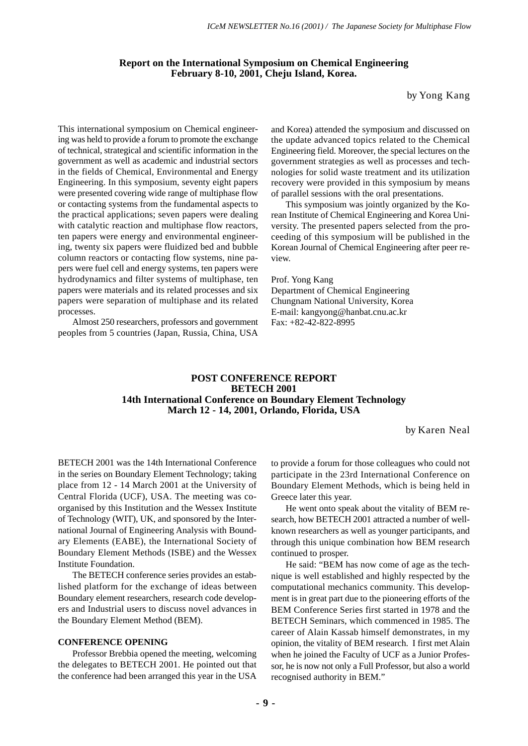#### **Report on the International Symposium on Chemical Engineering February 8-10, 2001, Cheju Island, Korea.**

by Yong Kang

This international symposium on Chemical engineering was held to provide a forum to promote the exchange of technical, strategical and scientific information in the government as well as academic and industrial sectors in the fields of Chemical, Environmental and Energy Engineering. In this symposium, seventy eight papers were presented covering wide range of multiphase flow or contacting systems from the fundamental aspects to the practical applications; seven papers were dealing with catalytic reaction and multiphase flow reactors, ten papers were energy and environmental engineering, twenty six papers were fluidized bed and bubble column reactors or contacting flow systems, nine papers were fuel cell and energy systems, ten papers were hydrodynamics and filter systems of multiphase, ten papers were materials and its related processes and six papers were separation of multiphase and its related processes.

Almost 250 researchers, professors and government peoples from 5 countries (Japan, Russia, China, USA and Korea) attended the symposium and discussed on the update advanced topics related to the Chemical Engineering field. Moreover, the special lectures on the government strategies as well as processes and technologies for solid waste treatment and its utilization recovery were provided in this symposium by means of parallel sessions with the oral presentations.

This symposium was jointly organized by the Korean Institute of Chemical Engineering and Korea University. The presented papers selected from the proceeding of this symposium will be published in the Korean Journal of Chemical Engineering after peer review.

Prof. Yong Kang Department of Chemical Engineering Chungnam National University, Korea E-mail: kangyong@hanbat.cnu.ac.kr Fax: +82-42-822-8995

#### **POST CONFERENCE REPORT BETECH 2001 14th International Conference on Boundary Element Technology March 12 - 14, 2001, Orlando, Florida, USA**

by Karen Neal

BETECH 2001 was the 14th International Conference in the series on Boundary Element Technology; taking place from 12 - 14 March 2001 at the University of Central Florida (UCF), USA. The meeting was coorganised by this Institution and the Wessex Institute of Technology (WIT), UK, and sponsored by the International Journal of Engineering Analysis with Boundary Elements (EABE), the International Society of Boundary Element Methods (ISBE) and the Wessex Institute Foundation.

The BETECH conference series provides an established platform for the exchange of ideas between Boundary element researchers, research code developers and Industrial users to discuss novel advances in the Boundary Element Method (BEM).

#### **CONFERENCE OPENING**

Professor Brebbia opened the meeting, welcoming the delegates to BETECH 2001. He pointed out that the conference had been arranged this year in the USA

to provide a forum for those colleagues who could not participate in the 23rd International Conference on Boundary Element Methods, which is being held in Greece later this year.

He went onto speak about the vitality of BEM research, how BETECH 2001 attracted a number of wellknown researchers as well as younger participants, and through this unique combination how BEM research continued to prosper.

He said: "BEM has now come of age as the technique is well established and highly respected by the computational mechanics community. This development is in great part due to the pioneering efforts of the BEM Conference Series first started in 1978 and the BETECH Seminars, which commenced in 1985. The career of Alain Kassab himself demonstrates, in my opinion, the vitality of BEM research. I first met Alain when he joined the Faculty of UCF as a Junior Professor, he is now not only a Full Professor, but also a world recognised authority in BEM."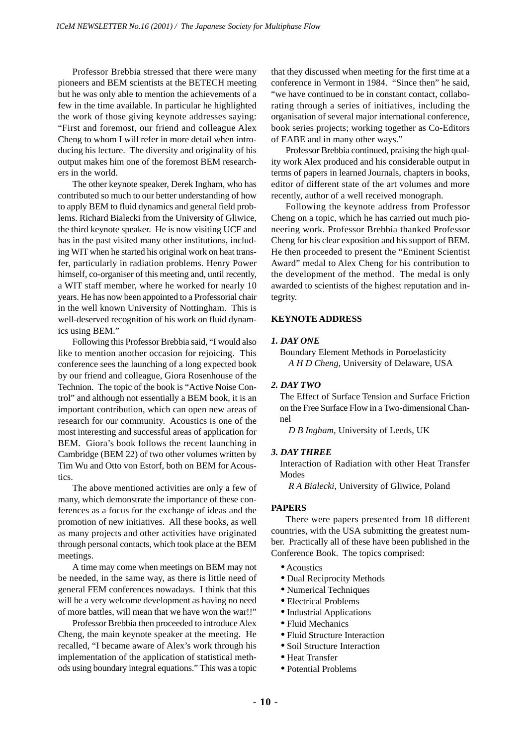Professor Brebbia stressed that there were many pioneers and BEM scientists at the BETECH meeting but he was only able to mention the achievements of a few in the time available. In particular he highlighted the work of those giving keynote addresses saying: "First and foremost, our friend and colleague Alex Cheng to whom I will refer in more detail when introducing his lecture. The diversity and originality of his output makes him one of the foremost BEM researchers in the world.

The other keynote speaker, Derek Ingham, who has contributed so much to our better understanding of how to apply BEM to fluid dynamics and general field problems. Richard Bialecki from the University of Gliwice, the third keynote speaker. He is now visiting UCF and has in the past visited many other institutions, including WIT when he started his original work on heat transfer, particularly in radiation problems. Henry Power himself, co-organiser of this meeting and, until recently, a WIT staff member, where he worked for nearly 10 years. He has now been appointed to a Professorial chair in the well known University of Nottingham. This is well-deserved recognition of his work on fluid dynamics using BEM."

Following this Professor Brebbia said, "I would also like to mention another occasion for rejoicing. This conference sees the launching of a long expected book by our friend and colleague, Giora Rosenhouse of the Technion. The topic of the book is "Active Noise Control" and although not essentially a BEM book, it is an important contribution, which can open new areas of research for our community. Acoustics is one of the most interesting and successful areas of application for BEM. Giora's book follows the recent launching in Cambridge (BEM 22) of two other volumes written by Tim Wu and Otto von Estorf, both on BEM for Acoustics.

The above mentioned activities are only a few of many, which demonstrate the importance of these conferences as a focus for the exchange of ideas and the promotion of new initiatives. All these books, as well as many projects and other activities have originated through personal contacts, which took place at the BEM meetings.

A time may come when meetings on BEM may not be needed, in the same way, as there is little need of general FEM conferences nowadays. I think that this will be a very welcome development as having no need of more battles, will mean that we have won the war!!"

Professor Brebbia then proceeded to introduce Alex Cheng, the main keynote speaker at the meeting. He recalled, "I became aware of Alex's work through his implementation of the application of statistical methods using boundary integral equations." This was a topic that they discussed when meeting for the first time at a conference in Vermont in 1984. "Since then" he said, "we have continued to be in constant contact, collaborating through a series of initiatives, including the organisation of several major international conference, book series projects; working together as Co-Editors of EABE and in many other ways."

Professor Brebbia continued, praising the high quality work Alex produced and his considerable output in terms of papers in learned Journals, chapters in books, editor of different state of the art volumes and more recently, author of a well received monograph.

Following the keynote address from Professor Cheng on a topic, which he has carried out much pioneering work. Professor Brebbia thanked Professor Cheng for his clear exposition and his support of BEM. He then proceeded to present the "Eminent Scientist Award" medal to Alex Cheng for his contribution to the development of the method. The medal is only awarded to scientists of the highest reputation and integrity.

#### **KEYNOTE ADDRESS**

#### *1. DAY ONE*

Boundary Element Methods in Poroelasticity *A H D Cheng*, University of Delaware, USA

#### *2. DAY TWO*

The Effect of Surface Tension and Surface Friction on the Free Surface Flow in a Two-dimensional Channel

*D B Ingham*, University of Leeds, UK

#### *3. DAY THREE*

Interaction of Radiation with other Heat Transfer Modes

*R A Bialecki*, University of Gliwice, Poland

#### **PAPERS**

There were papers presented from 18 different countries, with the USA submitting the greatest number. Practically all of these have been published in the Conference Book. The topics comprised:

- Acoustics
- Dual Reciprocity Methods
- Numerical Techniques
- Electrical Problems
- Industrial Applications
- Fluid Mechanics
- Fluid Structure Interaction
- Soil Structure Interaction
- Heat Transfer
- Potential Problems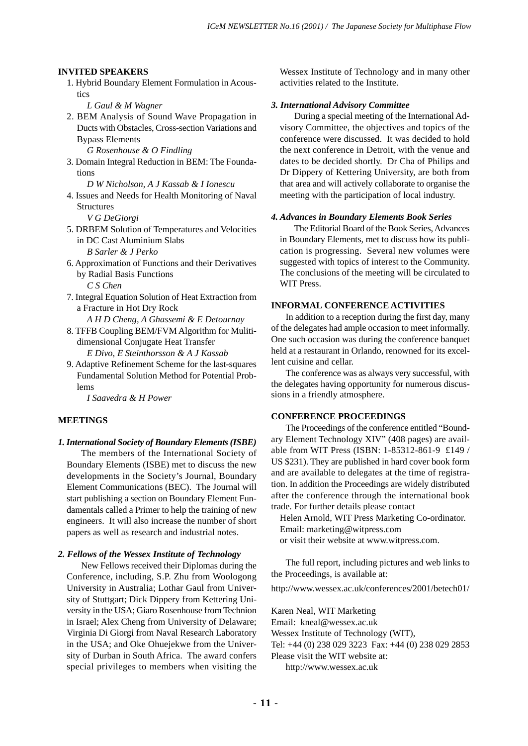#### **INVITED SPEAKERS**

- 1. Hybrid Boundary Element Formulation in Acoustics
	- *L Gaul & M Wagner*
- 2. BEM Analysis of Sound Wave Propagation in Ducts with Obstacles, Cross-section Variations and Bypass Elements
	- *G Rosenhouse & O Findling*
- 3. Domain Integral Reduction in BEM: The Foundations
- *D W Nicholson, A J Kassab & I Ionescu* 4. Issues and Needs for Health Monitoring of Naval Structures

*V G DeGiorgi*

- 5. DRBEM Solution of Temperatures and Velocities in DC Cast Aluminium Slabs *B Sarler & J Perko*
- 6. Approximation of Functions and their Derivatives by Radial Basis Functions

*C S Chen*

- 7. Integral Equation Solution of Heat Extraction from a Fracture in Hot Dry Rock
- *A H D Cheng, A Ghassemi & E Detournay* 8. TFFB Coupling BEM/FVM Algorithm for Muliti
	- dimensional Conjugate Heat Transfer *E Divo, E Steinthorsson & A J Kassab*
- 9. Adaptive Refinement Scheme for the last-squares Fundamental Solution Method for Potential Problems

*I Saavedra & H Power*

#### **MEETINGS**

*1. International Society of Boundary Elements (ISBE)*

The members of the International Society of Boundary Elements (ISBE) met to discuss the new developments in the Society's Journal, Boundary Element Communications (BEC). The Journal will start publishing a section on Boundary Element Fundamentals called a Primer to help the training of new engineers. It will also increase the number of short papers as well as research and industrial notes.

#### *2. Fellows of the Wessex Institute of Technology*

New Fellows received their Diplomas during the Conference, including, S.P. Zhu from Woologong University in Australia; Lothar Gaul from University of Stuttgart; Dick Dippery from Kettering University in the USA; Giaro Rosenhouse from Technion in Israel; Alex Cheng from University of Delaware; Virginia Di Giorgi from Naval Research Laboratory in the USA; and Oke Ohuejekwe from the University of Durban in South Africa. The award confers special privileges to members when visiting the

Wessex Institute of Technology and in many other activities related to the Institute.

#### *3. International Advisory Committee*

During a special meeting of the International Advisory Committee, the objectives and topics of the conference were discussed. It was decided to hold the next conference in Detroit, with the venue and dates to be decided shortly. Dr Cha of Philips and Dr Dippery of Kettering University, are both from that area and will actively collaborate to organise the meeting with the participation of local industry.

#### *4. Advances in Boundary Elements Book Series*

The Editorial Board of the Book Series, Advances in Boundary Elements, met to discuss how its publication is progressing. Several new volumes were suggested with topics of interest to the Community. The conclusions of the meeting will be circulated to WIT Press.

#### **INFORMAL CONFERENCE ACTIVITIES**

In addition to a reception during the first day, many of the delegates had ample occasion to meet informally. One such occasion was during the conference banquet held at a restaurant in Orlando, renowned for its excellent cuisine and cellar.

The conference was as always very successful, with the delegates having opportunity for numerous discussions in a friendly atmosphere.

## **CONFERENCE PROCEEDINGS**

The Proceedings of the conference entitled "Boundary Element Technology XIV" (408 pages) are available from WIT Press (ISBN: 1-85312-861-9 £149 / US \$231). They are published in hard cover book form and are available to delegates at the time of registration. In addition the Proceedings are widely distributed after the conference through the international book trade. For further details please contact

Helen Arnold, WIT Press Marketing Co-ordinator. Email: marketing@witpress.com or visit their website at www.witpress.com.

The full report, including pictures and web links to the Proceedings, is available at:

http://www.wessex.ac.uk/conferences/2001/betech01/

Karen Neal, WIT Marketing

Email: kneal@wessex.ac.uk

Wessex Institute of Technology (WIT),

Tel: +44 (0) 238 029 3223 Fax: +44 (0) 238 029 2853

Please visit the WIT website at:

http://www.wessex.ac.uk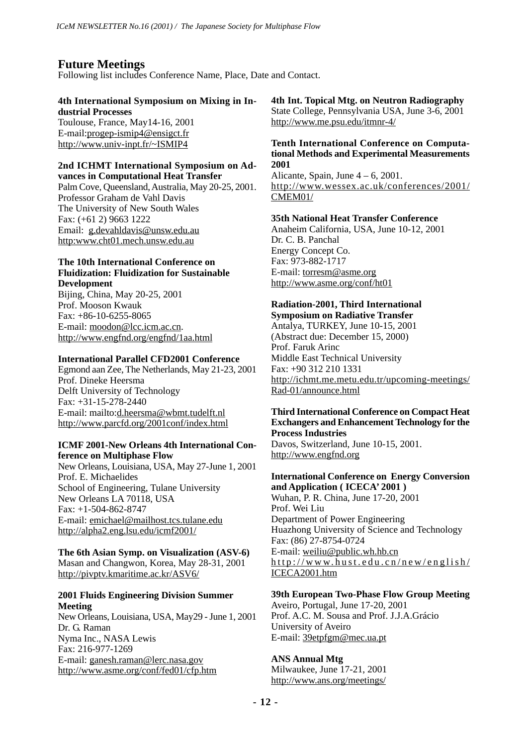## **Future Meetings**

Following list includes Conference Name, Place, Date and Contact.

## **4th International Symposium on Mixing in Industrial Processes**

Toulouse, France, May14-16, 2001 E-mail:progep-ismip4@ensigct.fr http://www.univ-inpt.fr/~ISMIP4

#### **2nd ICHMT International Symposium on Advances in Computational Heat Transfer**

Palm Cove, Queensland, Australia, May 20-25, 2001. Professor Graham de Vahl Davis The University of New South Wales Fax: (+61 2) 9663 1222 Email: g.devahldavis@unsw.edu.au http:www.cht01.mech.unsw.edu.au

### **The 10th International Conference on Fluidization: Fluidization for Sustainable Development**

Bijing, China, May 20-25, 2001 Prof. Mooson Kwauk Fax: +86-10-6255-8065 E-mail: moodon@lcc.icm.ac.cn. http://www.engfnd.org/engfnd/1aa.html

### **International Parallel CFD2001 Conference**

Egmond aan Zee, The Netherlands, May 21-23, 2001 Prof. Dineke Heersma Delft University of Technology Fax: +31-15-278-2440 E-mail: mailto:d.heersma@wbmt.tudelft.nl http://www.parcfd.org/2001conf/index.html

### **ICMF 2001-New Orleans 4th International Conference on Multiphase Flow**

New Orleans, Louisiana, USA, May 27-June 1, 2001 Prof. E. Michaelides School of Engineering, Tulane University New Orleans LA 70118, USA Fax: +1-504-862-8747 E-mail: emichael@mailhost.tcs.tulane.edu http://alpha2.eng.lsu.edu/icmf2001/

**The 6th Asian Symp. on Visualization (ASV-6)** Masan and Changwon, Korea, May 28-31, 2001 http://pivptv.kmaritime.ac.kr/ASV6/

## **2001 Fluids Engineering Division Summer Meeting**

New Orleans, Louisiana, USA, May29 - June 1, 2001 Dr. G. Raman Nyma Inc., NASA Lewis Fax: 216-977-1269 E-mail: ganesh.raman@lerc.nasa.gov http://www.asme.org/conf/fed01/cfp.htm

**4th Int. Topical Mtg. on Neutron Radiography** State College, Pennsylvania USA, June 3-6, 2001 http://www.me.psu.edu/itmnr-4/

## **Tenth International Conference on Computational Methods and Experimental Measurements 2001**

Alicante, Spain, June  $4 - 6$ , 2001. http://www.wessex.ac.uk/conferences/2001/ CMEM01/

## **35th National Heat Transfer Conference**

Anaheim California, USA, June 10-12, 2001 Dr. C. B. Panchal Energy Concept Co. Fax: 973-882-1717 E-mail: torresm@asme.org http://www.asme.org/conf/ht01

## **Radiation-2001, Third International**

**Symposium on Radiative Transfer** Antalya, TURKEY, June 10-15, 2001 (Abstract due: December 15, 2000) Prof. Faruk Arinc Middle East Technical University Fax: +90 312 210 1331 http://ichmt.me.metu.edu.tr/upcoming-meetings/ Rad-01/announce.html

## **Third International Conference on Compact Heat Exchangers and Enhancement Technology for the Process Industries**

Davos, Switzerland, June 10-15, 2001. http://www.engfnd.org

## **International Conference on Energy Conversion and Application ( ICECA' 2001 )**

Wuhan, P. R. China, June 17-20, 2001 Prof. Wei Liu Department of Power Engineering Huazhong University of Science and Technology Fax: (86) 27-8754-0724 E-mail: weiliu@public.wh.hb.cn http://www.hust.edu.cn/new/english/ ICECA2001.htm

## **39th European Two-Phase Flow Group Meeting**

Aveiro, Portugal, June 17-20, 2001 Prof. A.C. M. Sousa and Prof. J.J.A.Grácio University of Aveiro E-mail: 39etpfgm@mec.ua.pt

### **ANS Annual Mtg**

Milwaukee, June 17-21, 2001 http://www.ans.org/meetings/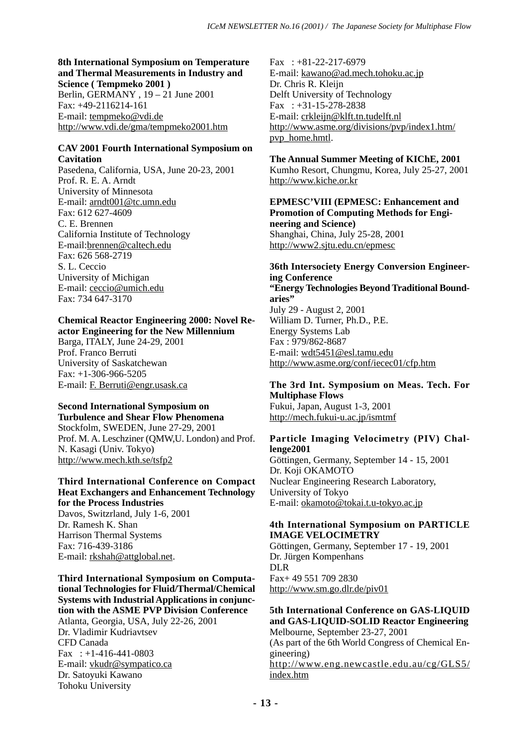#### **8th International Symposium on Temperature and Thermal Measurements in Industry and Science ( Tempmeko 2001 )** Berlin, GERMANY , 19 – 21 June 2001

Fax: +49-2116214-161 E-mail: tempmeko@vdi.de http://www.vdi.de/gma/tempmeko2001.htm

## **CAV 2001 Fourth International Symposium on Cavitation**

Pasedena, California, USA, June 20-23, 2001 Prof. R. E. A. Arndt University of Minnesota E-mail: arndt001@tc.umn.edu Fax: 612 627-4609 C. E. Brennen California Institute of Technology E-mail:brennen@caltech.edu Fax: 626 568-2719 S. L. Ceccio University of Michigan E-mail: ceccio@umich.edu Fax: 734 647-3170

## **Chemical Reactor Engineering 2000: Novel Reactor Engineering for the New Millennium**

Barga, ITALY, June 24-29, 2001 Prof. Franco Berruti University of Saskatchewan Fax: +1-306-966-5205 E-mail: F. Berruti@engr.usask.ca

## **Second International Symposium on**

**Turbulence and Shear Flow Phenomena** Stockfolm, SWEDEN, June 27-29, 2001 Prof. M. A. Leschziner (QMW,U. London) and Prof. N. Kasagi (Univ. Tokyo) http://www.mech.kth.se/tsfp2

## **Third International Conference on Compact Heat Exchangers and Enhancement Technology for the Process Industries**

Davos, Switzrland, July 1-6, 2001 Dr. Ramesh K. Shan Harrison Thermal Systems Fax: 716-439-3186 E-mail: rkshah@attglobal.net.

#### **Third International Symposium on Computational Technologies for Fluid/Thermal/Chemical Systems with Industrial Applications in conjunction with the ASME PVP Division Conference**

Atlanta, Georgia, USA, July 22-26, 2001 Dr. Vladimir Kudriavtsev CFD Canada Fax  $: +1-416-441-0803$ E-mail: vkudr@sympatico.ca Dr. Satoyuki Kawano Tohoku University

Fax : +81-22-217-6979 E-mail: kawano@ad.mech.tohoku.ac.jp Dr. Chris R. Kleijn Delft University of Technology Fax : +31-15-278-2838 E-mail: crkleijn@klft.tn.tudelft.nl http://www.asme.org/divisions/pvp/index1.htm/ pvp\_home.hmtl.

## **The Annual Summer Meeting of KIChE, 2001**

Kumho Resort, Chungmu, Korea, July 25-27, 2001 http://www.kiche.or.kr

#### **EPMESC'VIII (EPMESC: Enhancement and Promotion of Computing Methods for Engineering and Science)** Shanghai, China, July 25-28, 2001 http://www2.sjtu.edu.cn/epmesc

**36th Intersociety Energy Conversion Engineering Conference "Energy Technologies Beyond Traditional Boundaries"** July 29 - August 2, 2001 William D. Turner, Ph.D., P.E. Energy Systems Lab Fax : 979/862-8687 E-mail: wdt5451@esl.tamu.edu http://www.asme.org/conf/iecec01/cfp.htm

#### **The 3rd Int. Symposium on Meas. Tech. For Multiphase Flows** Fukui, Japan, August 1-3, 2001

http://mech.fukui-u.ac.jp/ismtmf

### **Particle Imaging Velocimetry (PIV) Challenge2001**

Göttingen, Germany, September 14 - 15, 2001 Dr. Koji OKAMOTO Nuclear Engineering Research Laboratory, University of Tokyo E-mail: okamoto@tokai.t.u-tokyo.ac.jp

## **4th International Symposium on PARTICLE IMAGE VELOCIMETRY**

Göttingen, Germany, September 17 - 19, 2001 Dr. Jürgen Kompenhans DLR Fax+ 49 551 709 2830 http://www.sm.go.dlr.de/piv01

### **5th International Conference on GAS-LIQUID and GAS-LIQUID-SOLID Reactor Engineering** Melbourne, September 23-27, 2001

(As part of the 6th World Congress of Chemical Engineering) http://www.eng.newcastle.edu.au/cg/GLS5/ index.htm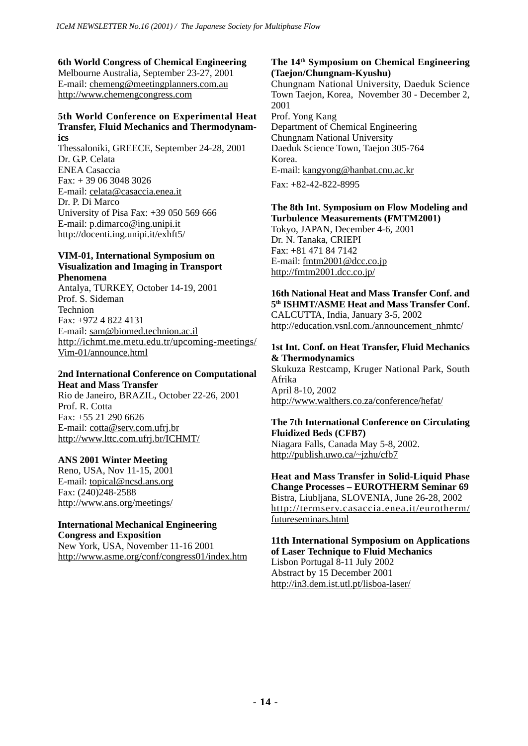## **6th World Congress of Chemical Engineering**

Melbourne Australia, September 23-27, 2001 E-mail: chemeng@meetingplanners.com.au http://www.chemengcongress.com

#### **5th World Conference on Experimental Heat Transfer, Fluid Mechanics and Thermodynamics**

Thessaloniki, GREECE, September 24-28, 2001 Dr. G.P. Celata ENEA Casaccia Fax: + 39 06 3048 3026 E-mail: celata@casaccia.enea.it Dr. P. Di Marco University of Pisa Fax: +39 050 569 666 E-mail: p.dimarco@ing.unipi.it http://docenti.ing.unipi.it/exhft5/

#### **VIM-01, International Symposium on Visualization and Imaging in Transport Phenomena**

Antalya, TURKEY, October 14-19, 2001 Prof. S. Sideman Technion Fax: +972 4 822 4131 E-mail: sam@biomed.technion.ac.il http://ichmt.me.metu.edu.tr/upcoming-meetings/ Vim-01/announce.html

#### **2nd International Conference on Computational Heat and Mass Transfer**

Rio de Janeiro, BRAZIL, October 22-26, 2001 Prof. R. Cotta Fax: +55 21 290 6626 E-mail: cotta@serv.com.ufrj.br http://www.lttc.com.ufrj.br/ICHMT/

### **ANS 2001 Winter Meeting**

Reno, USA, Nov 11-15, 2001 E-mail: topical@ncsd.ans.org Fax: (240)248-2588 http://www.ans.org/meetings/

#### **International Mechanical Engineering Congress and Exposition**

New York, USA, November 11-16 2001 http://www.asme.org/conf/congress01/index.htm

## **The 14th Symposium on Chemical Engineering (Taejon/Chungnam-Kyushu)**

Chungnam National University, Daeduk Science Town Taejon, Korea, November 30 - December 2, 2001 Prof. Yong Kang

Department of Chemical Engineering Chungnam National University Daeduk Science Town, Taejon 305-764 Korea. E-mail: kangyong@hanbat.cnu.ac.kr Fax: +82-42-822-8995

## **The 8th Int. Symposium on Flow Modeling and Turbulence Measurements (FMTM2001)**

Tokyo, JAPAN, December 4-6, 2001 Dr. N. Tanaka, CRIEPI Fax: +81 471 84 7142 E-mail: fmtm2001@dcc.co.jp http://fmtm2001.dcc.co.jp/

**16th National Heat and Mass Transfer Conf. and 5th ISHMT/ASME Heat and Mass Transfer Conf.** CALCUTTA, India, January 3-5, 2002 http://education.vsnl.com./announcement\_nhmtc/

## **1st Int. Conf. on Heat Transfer, Fluid Mechanics & Thermodynamics**

Skukuza Restcamp, Kruger National Park, South Afrika April 8-10, 2002

http://www.walthers.co.za/conference/hefat/

#### **The 7th International Conference on Circulating Fluidized Beds (CFB7)**

Niagara Falls, Canada May 5-8, 2002. http://publish.uwo.ca/~jzhu/cfb7

**Heat and Mass Transfer in Solid-Liquid Phase Change Processes – EUROTHERM Seminar 69** Bistra, Liubljana, SLOVENIA, June 26-28, 2002 http://termserv.casaccia.enea.it/eurotherm/ futureseminars.html

## **11th International Symposium on Applications of Laser Technique to Fluid Mechanics** Lisbon Portugal 8-11 July 2002 Abstract by 15 December 2001

http://in3.dem.ist.utl.pt/lisboa-laser/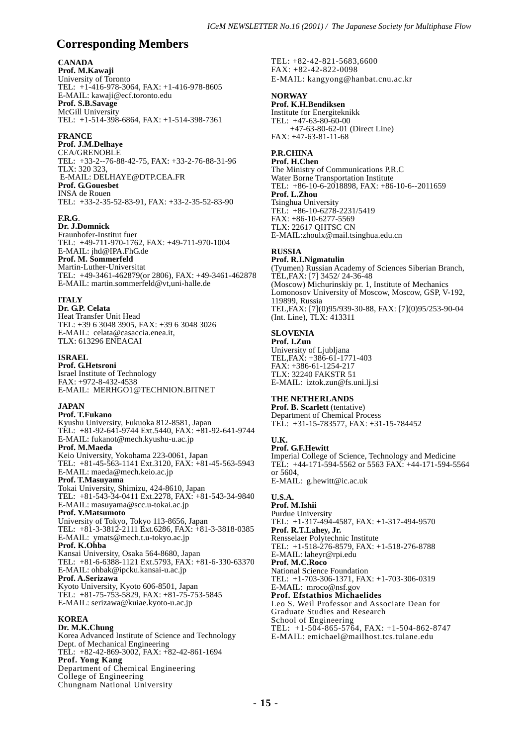## **Corresponding Members**

#### **CANADA**

**Prof. M.Kawaji** University of Toronto TEL: +1-416-978-3064, FAX: +1-416-978-8605 E-MAIL: kawaji@ecf.toronto.edu **Prof. S.B.Savage** McGill University TEL: +1-514-398-6864, FAX: +1-514-398-7361

#### **FRANCE**

**Prof. J.M.Delhaye** CEA/GRENOBLE TEL: +33-2--76-88-42-75, FAX: +33-2-76-88-31-96 TLX: 320 323, E-MAIL: DELHAYE@DTP.CEA.FR **Prof. G.Gouesbet** INSA de Rouen TEL: +33-2-35-52-83-91, FAX: +33-2-35-52-83-90

#### **F.R.G**.

**Dr. J.Domnick** Fraunhofer-Institut fuer TEL: +49-711-970-1762, FAX: +49-711-970-1004 E-MAIL: jhd@IPA.FhG.de **Prof. M. Sommerfeld** Martin-Luther-Universitat TEL: +49-3461-462879(or 2806), FAX: +49-3461-462878 E-MAIL: martin.sommerfeld@vt,uni-halle.de

#### **ITALY**

**Dr. G.P. Celata** Heat Transfer Unit Head TEL: +39 6 3048 3905, FAX: +39 6 3048 3026 E-MAIL: celata@casaccia.enea.it, TLX: 613296 ENEACAI

#### **ISRAEL**

**Prof. G.Hetsroni** Israel Institute of Technology FAX: +972-8-432-4538 E-MAIL: MERHGO1@TECHNION.BITNET

#### **JAPAN**

**Prof. T.Fukano** Kyushu University, Fukuoka 812-8581, Japan TEL: +81-92-641-9744 Ext.5440, FAX: +81-92-641-9744 E-MAIL: fukanot@mech.kyushu-u.ac.jp **Prof. M.Maeda** Keio University, Yokohama 223-0061, Japan TEL: +81-45-563-1141 Ext.3120, FAX: +81-45-563-5943 E-MAIL: maeda@mech.keio.ac.jp **Prof. T.Masuyama** Tokai University, Shimizu, 424-8610, Japan TEL: +81-543-34-0411 Ext.2278, FAX: +81-543-34-9840 E-MAIL: masuyama@scc.u-tokai.ac.jp **Prof. Y.Matsumoto** University of Tokyo, Tokyo 113-8656, Japan TEL: +81-3-3812-2111 Ext.6286, FAX: +81-3-3818-0385 E-MAIL: ymats@mech.t.u-tokyo.ac.jp **Prof. K.Ohba** Kansai University, Osaka 564-8680, Japan TEL: +81-6-6388-1121 Ext.5793, FAX: +81-6-330-63370 E-MAIL: ohbak@ipcku.kansai-u.ac.jp

#### **Prof. A.Serizawa**

Kyoto University, Kyoto 606-8501, Japan TEL: +81-75-753-5829, FAX: +81-75-753-5845 E-MAIL: serizawa@kuiae.kyoto-u.ac.jp

#### **KOREA**

**Dr. M.K.Chung** Korea Advanced Institute of Science and Technology Dept. of Mechanical Engineering TEL: +82-42-869-3002, FAX: +82-42-861-1694 **Prof. Yong Kang** Department of Chemical Engineering College of Engineering Chungnam National University

TEL: +82-42-821-5683,6600 FAX: +82-42-822-0098 E-MAIL: kangyong@hanbat.cnu.ac.kr

#### **NORWAY**

**Prof. K.H.Bendiksen** Institute for Energiteknikk TEL: +47-63-80-60-00 +47-63-80-62-01 (Direct Line) FAX: +47-63-81-11-68

#### **P.R.CHINA**

**Prof. H.Chen** The Ministry of Communications P.R.C Water Borne Transportation Institute TEL: +86-10-6-2018898, FAX: +86-10-6--2011659 **Prof. L.Zhou** Tsinghua University TEL: +86-10-6278-2231/5419 FAX: +86-10-6277-5569 TLX: 22617 QHTSC CN E-MAIL:zhoulx@mail.tsinghua.edu.cn

#### **RUSSIA**

**Prof. R.I.Nigmatulin** (Tyumen) Russian Academy of Sciences Siberian Branch, TEL,FAX: [7] 3452/ 24-36-48 (Moscow) Michurinskiy pr. 1, Institute of Mechanics Lomonosov University of Moscow, Moscow, GSP, V-192, 119899, Russia TEL,FAX: [7](0)95/939-30-88, FAX: [7](0)95/253-90-04 (Int. Line), TLX: 413311

#### **SLOVENIA**

**Prof. I.Zun** University of Ljubljana TEL,FAX: +386-61-1771-403 FAX: +386-61-1254-217 TLX: 32240 FAKSTR 51 E-MAIL: iztok.zun@fs.uni.lj.si

#### **THE NETHERLANDS**

**Prof. B. Scarlett** (tentative) Department of Chemical Process TEL: +31-15-783577, FAX: +31-15-784452

#### **U.K.**

**Prof. G.F.Hewitt** Imperial College of Science, Technology and Medicine TEL: +44-171-594-5562 or 5563 FAX: +44-171-594-5564 or 5604,

E-MAIL: g.hewitt@ic.ac.uk

#### **U.S.A. Prof. M.Ishii**

Purdue University TEL: +1-317-494-4587, FAX: +1-317-494-9570 **Prof. R.T.Lahey, Jr.** Rensselaer Polytechnic Institute TEL: +1-518-276-8579, FAX: +1-518-276-8788 E-MAIL: laheyr@rpi.edu **Prof. M.C.Roco** National Science Foundation TEL: +1-703-306-1371, FAX: +1-703-306-0319 E-MAIL: mroco@nsf.gov **Prof. Efstathios Michaelides** Leo S. Weil Professor and Associate Dean for Graduate Studies and Research School of Engineering TEL: +1-504-865-5764, FAX: +1-504-862-8747 E-MAIL: emichael@mailhost.tcs.tulane.edu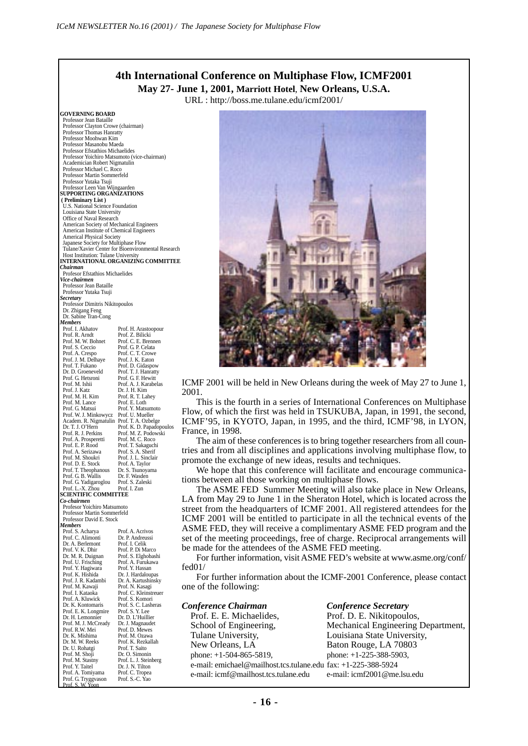## **4th International Conference on Multiphase Flow, ICMF2001 May 27- June 1, 2001, Marriott Hotel**, **New Orleans, U.S.A.**

URL : http://boss.me.tulane.edu/icmf2001/

**GOVERNING BOARD** Professor Jean Bataille Professor Clayton Crowe (chairman) Professor Thomas Hanratty Professor Moohwan Kim Professor Masanobu Maeda Professor Efstathios Michaelides Professor Yoichiro Matsumoto (vice-chairman) Academician Robert Nigmatulin Professor Michael C. Roco Professor Martin Sommerfeld Professor Yutaka Tsuji Professor Leen Van Wijngaarden **SUPPORTING ORGANIZATIONS ( Preliminary List )** U.S. National Science Foundation Louisiana State University Office of Naval Research American Society of Mechanical Engineers American Institute of Chemical Engineers Americal Physical Society Japanese Society for Multiphase Flow Tulane/Xavier Center for Bioenvironmental Research Host Institution: Tulane University **INTERNATIONAL ORGANIZING COMMITTEE** *Chairman* Profesor Efstathios Michaelides *Vice-chairmen* Professor Jean Bataille Professor Yutaka Tsuji *Secretary* Professor Dimitris Nikitopoulos Dr. Zhigang Feng Dr. Sabine Tran-Cong *Members*<br>Prof. I. Akhatov Prof. H. Arastoopour<br>Prof. Z. Bilicki<br>Prof. C. E. Brennen Prof. R. Arndt Prof. Z. Bilicki Prof. M. W. Bohnet Prof. C. E. Brennen Prof. S. Ceccio Prof. G. P. Celata<br>Prof. A. Crespo Prof. C. T. Crowe Prof. C. T. Crowe<br>Prof. L. K. Faton Prof. J. M. Delhaye<br>Prof. T. Fukano Prof. T. Fukano Prof. D. Gidaspow<br>Dr. D. Groeneveld Prof. T. I. Hanratti Prof. T. J. Hanratty<br>Prof. G. F. Hewitt Prof. G. Hetsroni<br>Prof. M. Ishii Prof. A. J. Karabelas<br>Dr. J. H. Kim Prof. J. Katz<br>Prof. M. H. Kim Prof. R. T. Lahey<br>Prof. E. Loth Prof. M. Lance<br>Prof. G. Matsui Prof. Y. Matsumoto<br>Prof. U. Mueller Prof. W. J. Minkowycz Prof. U. Mueller<br>Academ. R. Nigmatulin Prof. T. A. Ozbelge Academ. R. Nigmatulin<br>Dr T. I. O'Hern **Dr. T. J. O'Hern** Prof. K. D. Papadopoulos<br>Prof. R. J. Perkins Prof. M. Z. Podowski Prof. M. Z. Podowski<br>Prof. M. C. Roco Prof. A. Prosperetti Prof. M. C. Roco Prof. E. P. Rood Prof. T. Sakaguchi Prof. A. Serizawa Prof. S. A. Sherif<br>Prof. M. Shoukri Prof. J. L. Sinclair Prof. M. Shoukri Prof. J. L. Sincl<br>Prof. D. E. Stock Prof. A Taylor Prof. D. E. Stock Prof. A. Taylor<br>Prof. T. Theophanous Dr. S. Tsunoyama Prof. T. Theophanous Dr. S. Tsunoyama Prof. G. B. Wallis Dr. F. Wasden Prof. G. Yadigaroglou Prof. S. Zaleski<br>Prof. L.-X. Zhou Prof. I. Zun Prof. L.-X. Zhou **SCIENTIFIC COMMITTEE** *Co-chairmen* Profesor Yoichiro Matsumoto Professor Martin Sommerfeld Professor David E. Stock *Members* Prof. S. Acharya Prof. A. Acrivos Prof. C. Alimonti Dr. P. Andreussi Dr. A. Berlemont Prof. I. Celik<br>Prof. V. K. Dhir Prof. P. Di Marco Prof. V. K. Dhir<br>Prof. V. K. Dhir Dr. M. R. Duignan Prof. S. Elghobashi Prof. A. Furukawa<br>Prof. Y. Hassan Prof. Y. Hagiwara Prof. Y. Hassan<br>Prof. K. Hishida Dr. J. Hardaloupa Prof. K. Hishida<br>Prof. J. R. Kadambi Dr. A. Kartushinsky<br>Prof. N. Kasagi Prof. M. Kawaji<br>Prof. I. Kataoka Prof. C. Kleinstreuer<br>Prof. S. Komori Prof. A. Kluwick<br>Dr. K. Kontomaris Prof. S. C. Lasheras<br>Prof. S. Y. Lee Prof. E. K. Longmire<br>Dr. H. Lemonnier From Erich England<br>Dr. H. Lemonnier Dr. D. L'Huillier<br>Prof. M. J. McCready Dr. J. Magnaudet Prof. M. J. McCready Dr. J. Magnaudet Prof. R.W. Mei Prof. D. Mewes Dr. K. Mishima Prof. M. Ozawa Prof. K. Rezkallah<br>Prof. T. Saito Dr. U. Rohatgi Prof. T. Saito<br>Prof. M. Shoji Dr. O. Simonin Prof. M. Shoji<br>Prof. M. Stastny Prof. M. Stastny<br>Prof. M. Stastny Prof. L. J. Steinberg<br>Prof. Y. Taitel Dr. J. N. Tilton Prof. Y. Taitel Dr. J. N. Tilton<br>Prof. A. Tomiyama Prof. C. Tronea Prof. C. Tropea<br>Prof. S.-C. Yao Prof. G. Tryggvason

Prof. S. W. Yoon



ICMF 2001 will be held in New Orleans during the week of May 27 to June 1, 2001.

This is the fourth in a series of International Conferences on Multiphase Flow, of which the first was held in TSUKUBA, Japan, in 1991, the second, ICMF'95, in KYOTO, Japan, in 1995, and the third, ICMF'98, in LYON, France, in 1998.

The aim of these conferences is to bring together researchers from all countries and from all disciplines and applications involving multiphase flow, to promote the exchange of new ideas, results and techniques.

We hope that this conference will facilitate and encourage communications between all those working on multiphase flows.

The ASME FED Summer Meeting will also take place in New Orleans, LA from May 29 to June 1 in the Sheraton Hotel, which is located across the street from the headquarters of ICMF 2001. All registered attendees for the ICMF 2001 will be entitled to participate in all the technical events of the ASME FED, they will receive a complimentary ASME FED program and the set of the meeting proceedings, free of charge. Reciprocal arrangements will be made for the attendees of the ASME FED meeting.

For further information, visit ASME FED's website at www.asme.org/conf/ fed01/

For further information about the ICMF-2001 Conference, please contact one of the following:

| Conference Chairman                                           | <b>Conference Secretary</b>        |
|---------------------------------------------------------------|------------------------------------|
| Prof. E. E. Michaelides,                                      | Prof. D. E. Nikitopoulos,          |
| School of Engineering,                                        | Mechanical Engineering Department, |
| Tulane University,                                            | Louisiana State University,        |
| New Orleans, LA                                               | Baton Rouge, LA 70803              |
| phone: $+1-504-865-5819$ ,                                    | phone: $+1-225-388-5903$ ,         |
| e-mail: emichael@mailhost.tcs.tulane.edu fax: +1-225-388-5924 |                                    |
| e-mail: icmf@mailhost.tcs.tulane.edu                          | e-mail: icmf2001@me.lsu.edu        |
|                                                               |                                    |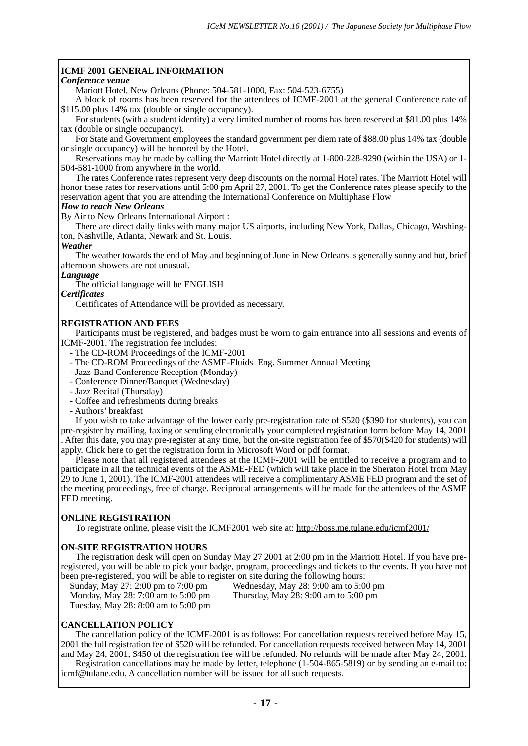## **ICMF 2001 GENERAL INFORMATION**

#### *Conference venue*

Mariott Hotel, New Orleans (Phone: 504-581-1000, Fax: 504-523-6755)

A block of rooms has been reserved for the attendees of ICMF-2001 at the general Conference rate of \$115.00 plus 14% tax (double or single occupancy).

For students (with a student identity) a very limited number of rooms has been reserved at \$81.00 plus 14% tax (double or single occupancy).

For State and Government employees the standard government per diem rate of \$88.00 plus 14% tax (double or single occupancy) will be honored by the Hotel.

Reservations may be made by calling the Marriott Hotel directly at 1-800-228-9290 (within the USA) or 1- 504-581-1000 from anywhere in the world.

The rates Conference rates represent very deep discounts on the normal Hotel rates. The Marriott Hotel will honor these rates for reservations until 5:00 pm April 27, 2001. To get the Conference rates please specify to the reservation agent that you are attending the International Conference on Multiphase Flow

#### *How to reach New Orleans*

By Air to New Orleans International Airport :

There are direct daily links with many major US airports, including New York, Dallas, Chicago, Washington, Nashville, Atlanta, Newark and St. Louis.

#### *Weather*

The weather towards the end of May and beginning of June in New Orleans is generally sunny and hot, brief afternoon showers are not unusual.

## *Language*

The official language will be ENGLISH

*Certificates*

Certificates of Attendance will be provided as necessary.

### **REGISTRATION AND FEES**

Participants must be registered, and badges must be worn to gain entrance into all sessions and events of ICMF-2001. The registration fee includes:

- The CD-ROM Proceedings of the ICMF-2001
- The CD-ROM Proceedings of the ASME-Fluids Eng. Summer Annual Meeting
- Jazz-Band Conference Reception (Monday)
- Conference Dinner/Banquet (Wednesday)
- Jazz Recital (Thursday)
- Coffee and refreshments during breaks
- Authors' breakfast

If you wish to take advantage of the lower early pre-registration rate of \$520 (\$390 for students), you can pre-register by mailing, faxing or sending electronically your completed registration form before May 14, 2001 . After this date, you may pre-register at any time, but the on-site registration fee of \$570(\$420 for students) will apply. Click here to get the registration form in Microsoft Word or pdf format.

Please note that all registered attendees at the ICMF-2001 will be entitled to receive a program and to participate in all the technical events of the ASME-FED (which will take place in the Sheraton Hotel from May 29 to June 1, 2001). The ICMF-2001 attendees will receive a complimentary ASME FED program and the set of the meeting proceedings, free of charge. Reciprocal arrangements will be made for the attendees of the ASME FED meeting.

### **ONLINE REGISTRATION**

To registrate online, please visit the ICMF2001 web site at: http://boss.me.tulane.edu/icmf2001/

### **ON-SITE REGISTRATION HOURS**

The registration desk will open on Sunday May 27 2001 at 2:00 pm in the Marriott Hotel. If you have preregistered, you will be able to pick your badge, program, proceedings and tickets to the events. If you have not been pre-registered, you will be able to register on site during the following hours:<br>Sunday, May 27: 2:00 pm to 7:00 pm Wednesday, May 28: 9:00 am to 5:00 pm

Sunday, May  $27: 2:00$  pm to  $7:00$  pm<br>Mednesday, May  $28:9:00$  am to  $5:00$  pm<br>Thursday, May  $28:9:00$  am to  $5:00$  pm Monday, May 28: 7:00 am to 5:00 pm Tuesday, May 28: 8:00 am to 5:00 pm

### **CANCELLATION POLICY**

The cancellation policy of the ICMF-2001 is as follows: For cancellation requests received before May 15, 2001 the full registration fee of \$520 will be refunded. For cancellation requests received between May 14, 2001 and May 24, 2001, \$450 of the registration fee will be refunded. No refunds will be made after May 24, 2001.

Registration cancellations may be made by letter, telephone (1-504-865-5819) or by sending an e-mail to: icmf@tulane.edu. A cancellation number will be issued for all such requests.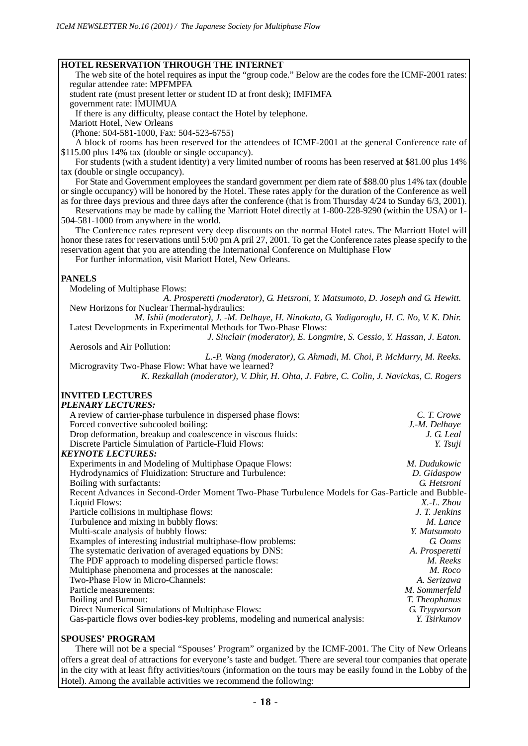#### **HOTEL RESERVATION THROUGH THE INTERNET**

The web site of the hotel requires as input the "group code." Below are the codes fore the ICMF-2001 rates: regular attendee rate: MPFMPFA

student rate (must present letter or student ID at front desk); IMFIMFA

government rate: IMUIMUA

If there is any difficulty, please contact the Hotel by telephone.

Mariott Hotel, New Orleans

(Phone: 504-581-1000, Fax: 504-523-6755)

A block of rooms has been reserved for the attendees of ICMF-2001 at the general Conference rate of \$115.00 plus 14% tax (double or single occupancy).

For students (with a student identity) a very limited number of rooms has been reserved at \$81.00 plus 14% tax (double or single occupancy).

For State and Government employees the standard government per diem rate of \$88.00 plus 14% tax (double or single occupancy) will be honored by the Hotel. These rates apply for the duration of the Conference as well

as for three days previous and three days after the conference (that is from Thursday 4/24 to Sunday 6/3, 2001). Reservations may be made by calling the Marriott Hotel directly at 1-800-228-9290 (within the USA) or 1- 504-581-1000 from anywhere in the world.

The Conference rates represent very deep discounts on the normal Hotel rates. The Marriott Hotel will honor these rates for reservations until 5:00 pm A pril 27, 2001. To get the Conference rates please specify to the reservation agent that you are attending the International Conference on Multiphase Flow

For further information, visit Mariott Hotel, New Orleans.

#### **PANELS**

Modeling of Multiphase Flows:

*A. Prosperetti (moderator), G. Hetsroni, Y. Matsumoto, D. Joseph and G. Hewitt.* New Horizons for Nuclear Thermal-hydraulics:

*M. Ishii (moderator), J. -M. Delhaye, H. Ninokata, G. Yadigaroglu, H. C. No, V. K. Dhir.* Latest Developments in Experimental Methods for Two-Phase Flows:

*J. Sinclair (moderator), E. Longmire, S. Cessio, Y. Hassan, J. Eaton.* Aerosols and Air Pollution:

*L.-P. Wang (moderator), G. Ahmadi, M. Choi, P. McMurry, M. Reeks.* Microgravity Two-Phase Flow: What have we learned?

*K. Rezkallah (moderator), V. Dhir, H. Ohta, J. Fabre, C. Colin, J. Navickas, C. Rogers*

#### **INVITED LECTURES** *PLENARY LECTURES:*

| A review of carrier-phase turbulence in dispersed phase flows:                                  | C. T. Crowe    |
|-------------------------------------------------------------------------------------------------|----------------|
| Forced convective subcooled boiling:                                                            | J.-M. Delhave  |
| Drop deformation, breakup and coalescence in viscous fluids:                                    | J. G. Leal     |
| Discrete Particle Simulation of Particle-Fluid Flows:                                           | Y. Tsuji       |
| KEYNOTE LECTURES:                                                                               |                |
| Experiments in and Modeling of Multiphase Opaque Flows:                                         | M. Dudukowic   |
| Hydrodynamics of Fluidization: Structure and Turbulence:                                        | D. Gidaspow    |
| Boiling with surfactants:                                                                       | G. Hetsroni    |
| Recent Advances in Second-Order Moment Two-Phase Turbulence Models for Gas-Particle and Bubble- |                |
| Liquid Flows:                                                                                   | X.-L. Zhou     |
| Particle collisions in multiphase flows:                                                        | J. T. Jenkins  |
| Turbulence and mixing in bubbly flows:                                                          | M. Lance       |
| Multi-scale analysis of bubbly flows:                                                           | Y. Matsumoto   |
| Examples of interesting industrial multiphase-flow problems:                                    | G. Ooms        |
| The systematic derivation of averaged equations by DNS:                                         | A. Prosperetti |
| The PDF approach to modeling dispersed particle flows:                                          | M. Reeks       |
| Multiphase phenomena and processes at the nanoscale:                                            | M. Roco        |
| Two-Phase Flow in Micro-Channels:                                                               | A. Serizawa    |
| Particle measurements:                                                                          | M. Sommerfeld  |
| Boiling and Burnout:                                                                            | T. Theophanus  |
| Direct Numerical Simulations of Multiphase Flows:                                               | G. Trygvarson  |
| Gas-particle flows over bodies-key problems, modeling and numerical analysis:                   | Y. Tsirkunov   |
|                                                                                                 |                |

#### **SPOUSES' PROGRAM**

There will not be a special "Spouses' Program" organized by the ICMF-2001. The City of New Orleans offers a great deal of attractions for everyone's taste and budget. There are several tour companies that operate in the city with at least fifty activities/tours (information on the tours may be easily found in the Lobby of the Hotel). Among the available activities we recommend the following: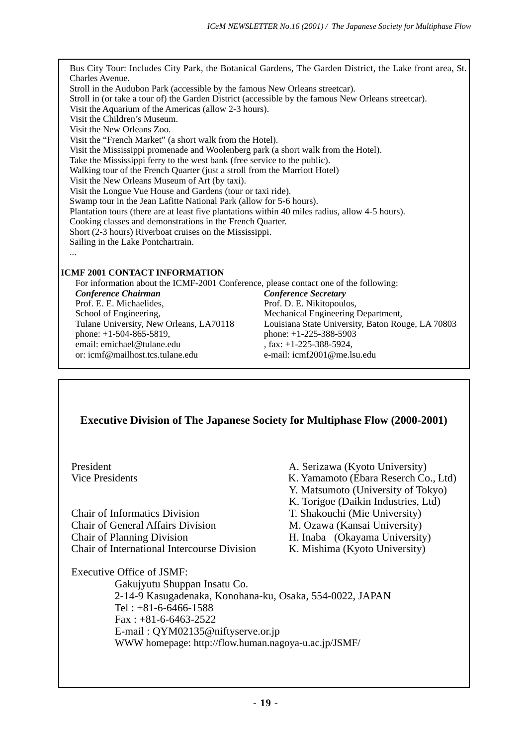Bus City Tour: Includes City Park, the Botanical Gardens, The Garden District, the Lake front area, St. Charles Avenue. Stroll in the Audubon Park (accessible by the famous New Orleans streetcar). Stroll in (or take a tour of) the Garden District (accessible by the famous New Orleans streetcar). Visit the Aquarium of the Americas (allow 2-3 hours). Visit the Children's Museum. Visit the New Orleans Zoo. Visit the "French Market" (a short walk from the Hotel). Visit the Mississippi promenade and Woolenberg park (a short walk from the Hotel). Take the Mississippi ferry to the west bank (free service to the public). Walking tour of the French Quarter (just a stroll from the Marriott Hotel) Visit the New Orleans Museum of Art (by taxi). Visit the Longue Vue House and Gardens (tour or taxi ride). Swamp tour in the Jean Lafitte National Park (allow for 5-6 hours). Plantation tours (there are at least five plantations within 40 miles radius, allow 4-5 hours). Cooking classes and demonstrations in the French Quarter. Short (2-3 hours) Riverboat cruises on the Mississippi. Sailing in the Lake Pontchartrain. ... **ICMF 2001 CONTACT INFORMATION** For information about the ICMF-2001 Conference, please contact one of the following: *Conference Chairman Conference Secretary* Prof. D. E. Nikitopoulos, School of Engineering, Mechanical Engineering Department,<br>
Tulane University, New Orleans, LA70118 Louisiana State University, Baton Ro Tulane University, New Orleans, LA70118 Louisiana State University, Baton Rouge, LA 70803<br>
phone: +1-225-388-5903 phone:  $+1-225-388-5903$ email: emichael@tulane.edu , fax: +1-225-388-5924,<br>or: icmf@mailhost tcs tulane edu e-mail: icmf2001@me.ls e-mail: icmf2001@me.lsu.edu

## **Executive Division of The Japanese Society for Multiphase Flow (2000-2001)**

| President                                                | A. Serizawa (Kyoto University)       |  |  |  |
|----------------------------------------------------------|--------------------------------------|--|--|--|
| Vice Presidents                                          | K. Yamamoto (Ebara Reserch Co., Ltd) |  |  |  |
|                                                          | Y. Matsumoto (University of Tokyo)   |  |  |  |
|                                                          | K. Torigoe (Daikin Industries, Ltd)  |  |  |  |
| Chair of Informatics Division                            | T. Shakouchi (Mie University)        |  |  |  |
| Chair of General Affairs Division                        | M. Ozawa (Kansai University)         |  |  |  |
| <b>Chair of Planning Division</b>                        | H. Inaba (Okayama University)        |  |  |  |
| Chair of International Intercourse Division              | K. Mishima (Kyoto University)        |  |  |  |
| Executive Office of JSMF:                                |                                      |  |  |  |
| Gakujyutu Shuppan Insatu Co.                             |                                      |  |  |  |
| 2-14-9 Kasugadenaka, Konohana-ku, Osaka, 554-0022, JAPAN |                                      |  |  |  |
| Tel: $+81-6-6466-1588$                                   |                                      |  |  |  |
| $Fax: +81-6-6463-2522$                                   |                                      |  |  |  |
| E-mail: QYM02135@niftyserve.or.jp                        |                                      |  |  |  |
| WWW homepage: http://flow.human.nagoya-u.ac.jp/JSMF/     |                                      |  |  |  |
|                                                          |                                      |  |  |  |